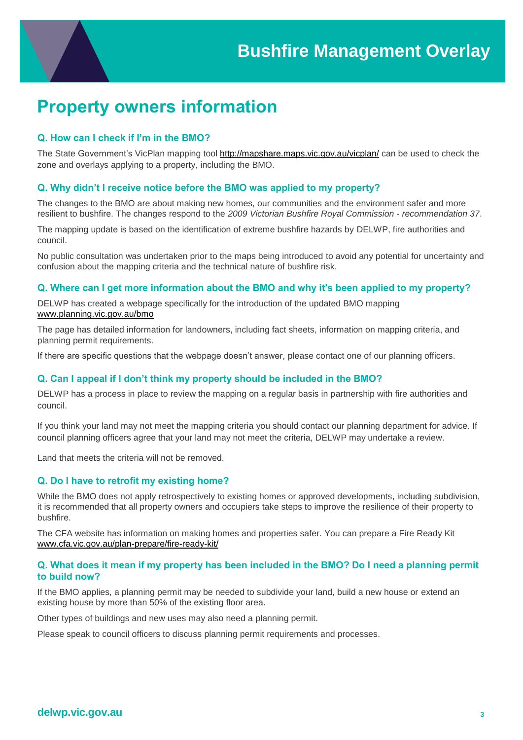## **Property owners information**

## **Q. How can I check if I'm in the BMO?**

The State Government's VicPlan mapping tool<http://mapshare.maps.vic.gov.au/vicplan/> can be used to check the zone and overlays applying to a property, including the BMO.

## **Q. Why didn't I receive notice before the BMO was applied to my property?**

The changes to the BMO are about making new homes, our communities and the environment safer and more resilient to bushfire. The changes respond to the *2009 Victorian Bushfire Royal Commission - recommendation 37*.

The mapping update is based on the identification of extreme bushfire hazards by DELWP, fire authorities and council.

No public consultation was undertaken prior to the maps being introduced to avoid any potential for uncertainty and confusion about the mapping criteria and the technical nature of bushfire risk.

### **Q. Where can I get more information about the BMO and why it's been applied to my property?**

DELWP has created a webpage specifically for the introduction of the updated BMO mapping [www.planning.vic.gov.au/bmo](http://www.planning.vic.gov.au/bmo)

The page has detailed information for landowners, including fact sheets, information on mapping criteria, and planning permit requirements.

If there are specific questions that the webpage doesn't answer, please contact one of our planning officers.

#### **Q. Can I appeal if I don't think my property should be included in the BMO?**

DELWP has a process in place to review the mapping on a regular basis in partnership with fire authorities and council.

If you think your land may not meet the mapping criteria you should contact our planning department for advice. If council planning officers agree that your land may not meet the criteria, DELWP may undertake a review.

Land that meets the criteria will not be removed.

#### **Q. Do I have to retrofit my existing home?**

While the BMO does not apply retrospectively to existing homes or approved developments, including subdivision, it is recommended that all property owners and occupiers take steps to improve the resilience of their property to bushfire.

The [CFA website](http://www.cfa.vic.gov.au/) has information on making homes and properties safer. You can prepare a Fire Ready Kit [www.cfa.vic.gov.au/plan-prepare/fire-ready-kit/](http://www.cfa.vic.gov.au/plan-prepare/fire-ready-kit/)

#### **Q. What does it mean if my property has been included in the BMO? Do I need a planning permit to build now?**

If the BMO applies, a planning permit may be needed to subdivide your land, build a new house or extend an existing house by more than 50% of the existing floor area.

Other types of buildings and new uses may also need a planning permit.

Please speak to council officers to discuss planning permit requirements and processes.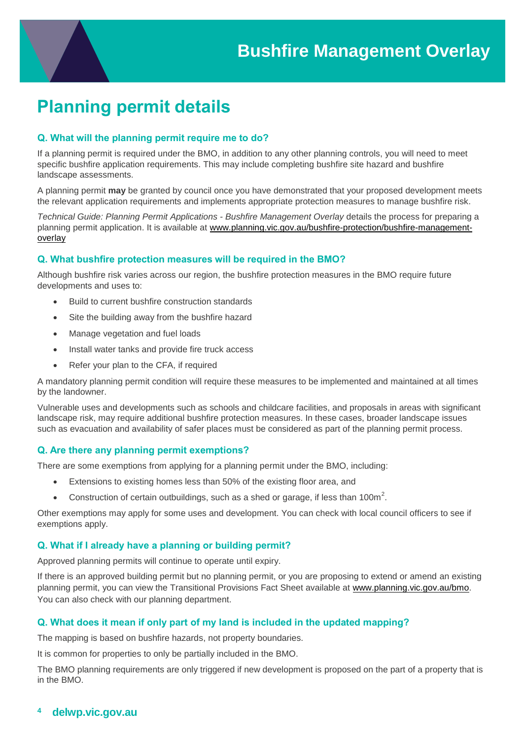# **Planning permit details**

## **Q. What will the planning permit require me to do?**

If a planning permit is required under the BMO, in addition to any other planning controls, you will need to meet specific bushfire application requirements. This may include completing bushfire site hazard and bushfire landscape assessments.

A planning permit **may** be granted by council once you have demonstrated that your proposed development meets the relevant application requirements and implements appropriate protection measures to manage bushfire risk.

*Technical Guide: Planning Permit Applications - Bushfire Management Overlay* details the process for preparing a planning permit application. It is available at [www.planning.vic.gov.au/bushfire-protection/bushfire-management](http://www.planning.vic.gov.au/bushfire-protection/bushfire-management-overlay)[overlay](http://www.planning.vic.gov.au/bushfire-protection/bushfire-management-overlay)

#### **Q. What bushfire protection measures will be required in the BMO?**

Although bushfire risk varies across our region, the bushfire protection measures in the BMO require future developments and uses to:

- Build to current bushfire construction standards
- Site the building away from the bushfire hazard
- Manage vegetation and fuel loads
- Install water tanks and provide fire truck access
- Refer your plan to the CFA, if required

A mandatory planning permit condition will require these measures to be implemented and maintained at all times by the landowner.

Vulnerable uses and developments such as schools and childcare facilities, and proposals in areas with significant landscape risk, may require additional bushfire protection measures. In these cases, broader landscape issues such as evacuation and availability of safer places must be considered as part of the planning permit process.

#### **Q. Are there any planning permit exemptions?**

There are some exemptions from applying for a planning permit under the BMO, including:

- Extensions to existing homes less than 50% of the existing floor area, and
- Construction of certain outbuildings, such as a shed or garage, if less than 100m<sup>2</sup>.

Other exemptions may apply for some uses and development. You can check with local council officers to see if exemptions apply.

#### **Q. What if I already have a planning or building permit?**

Approved planning permits will continue to operate until expiry.

If there is an approved building permit but no planning permit, or you are proposing to extend or amend an existing planning permit, you can view the Transitional Provisions Fact Sheet available at [www.planning.vic.gov.au/bmo.](http://www.planning.vic.gov.au/bmo) You can also check with our planning department.

## **Q. What does it mean if only part of my land is included in the updated mapping?**

The mapping is based on bushfire hazards, not property boundaries.

It is common for properties to only be partially included in the BMO.

The BMO planning requirements are only triggered if new development is proposed on the part of a property that is in the BMO.

## **<sup>4</sup> delwp.vic.gov.au**